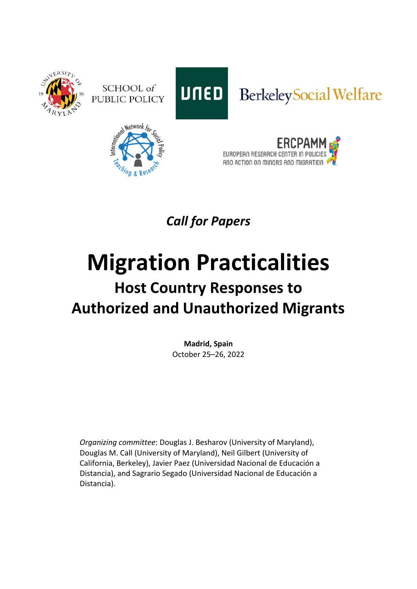





## Berkeley Social Welfare





*Call for Papers*

## **Migration Practicalities Host Country Responses to Authorized and Unauthorized Migrants**

**Madrid, Spain** October 25–26, 2022

*Organizing committee*: Douglas J. Besharov (University of Maryland), Douglas M. Call (University of Maryland), Neil Gilbert (University of California, Berkeley), Javier Paez (Universidad Nacional de Educación a Distancia), and Sagrario Segado (Universidad Nacional de Educación a Distancia).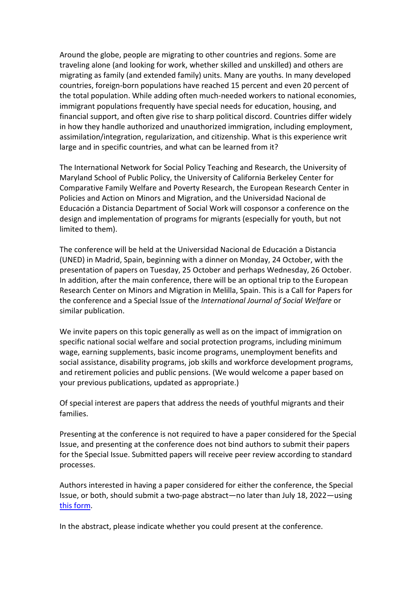Around the globe, people are migrating to other countries and regions. Some are traveling alone (and looking for work, whether skilled and unskilled) and others are migrating as family (and extended family) units. Many are youths. In many developed countries, foreign-born populations have reached 15 percent and even 20 percent of the total population. While adding often much-needed workers to national economies, immigrant populations frequently have special needs for education, housing, and financial support, and often give rise to sharp political discord. Countries differ widely in how they handle authorized and unauthorized immigration, including employment, assimilation/integration, regularization, and citizenship. What is this experience writ large and in specific countries, and what can be learned from it?

The International Network for Social Policy Teaching and Research, the University of Maryland School of Public Policy, the University of California Berkeley Center for Comparative Family Welfare and Poverty Research, the European Research Center in Policies and Action on Minors and Migration, and the Universidad Nacional de Educación a Distancia Department of Social Work will cosponsor a conference on the design and implementation of programs for migrants (especially for youth, but not limited to them).

The conference will be held at the Universidad Nacional de Educación a Distancia (UNED) in Madrid, Spain, beginning with a dinner on Monday, 24 October, with the presentation of papers on Tuesday, 25 October and perhaps Wednesday, 26 October. In addition, after the main conference, there will be an optional trip to the European Research Center on Minors and Migration in Melilla, Spain. This is a Call for Papers for the conference and a Special Issue of the *International Journal of Social Welfare* or similar publication.

We invite papers on this topic generally as well as on the impact of immigration on specific national social welfare and social protection programs, including minimum wage, earning supplements, basic income programs, unemployment benefits and social assistance, disability programs, job skills and workforce development programs, and retirement policies and public pensions. (We would welcome a paper based on your previous publications, updated as appropriate.)

Of special interest are papers that address the needs of youthful migrants and their families.

Presenting at the conference is not required to have a paper considered for the Special Issue, and presenting at the conference does not bind authors to submit their papers for the Special Issue. Submitted papers will receive peer review according to standard processes.

Authors interested in having a paper considered for either the conference, the Special Issue, or both, should submit a two-page abstract—no later than July 18, 2022—using [this form.](https://docs.google.com/forms/d/e/1FAIpQLSemdhecQ-quBLcs5CYyRhx94D_SPOpWcDVoyzr18gKQ_Xu-qQ/viewform?usp=sf_link)

In the abstract, please indicate whether you could present at the conference.